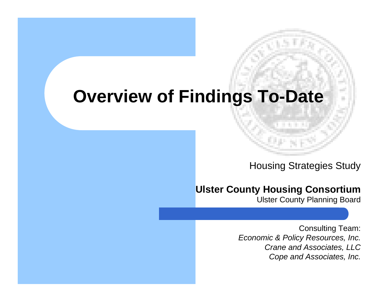#### **Overview of Findings To-Date**

Housing Strategies Study

#### **Ulster County Housing Consortium**

Ulster County Planning Board

Consulting Team: *Economic & Policy Resources, Inc. Crane and Associates, LLC Cope and Associates, Inc.*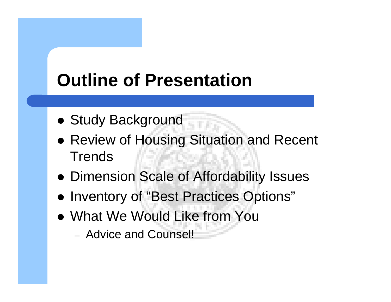## **Outline of Presentation**

- Study Background
- Review of Housing Situation and Recent **Trends**
- Dimension Scale of Affordability Issues
- Inventory of "Best Practices Options"
- What We Would Like from You
	- Advice and Counsel!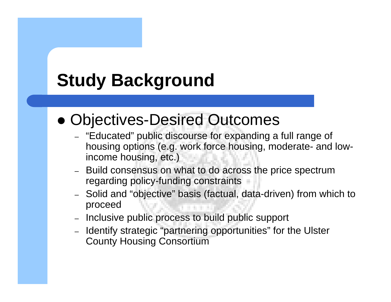## **Study Background**

#### • Objectives-Desired Outcomes

- "Educated" public discourse for expanding a full range of housing options (e.g. work force housing, moderate- and lowincome housing, etc.)
- Build consensus on what to do across the price spectrum regarding policy-funding constraints
- Solid and "objective" basis (factual, data-driven) from which to proceed
- Inclusive public process to build public support
- Identify strategic "partnering opportunities" for the Ulster County Housing Consortium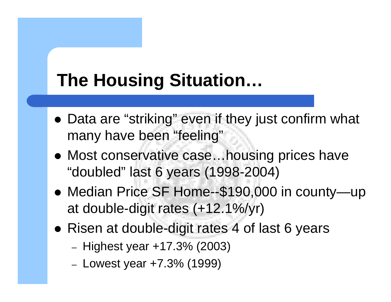- Data are "striking" even if they just confirm what many have been "feeling"
- Most conservative case...housing prices have "doubled" last 6 years (1998-2004)
- Median Price SF Home--\$190,000 in county—up at double-digit rates (+12.1%/yr)
- Risen at double-digit rates 4 of last 6 years
	- Highest year +17.3% (2003)
	- Lowest year +7.3% (1999)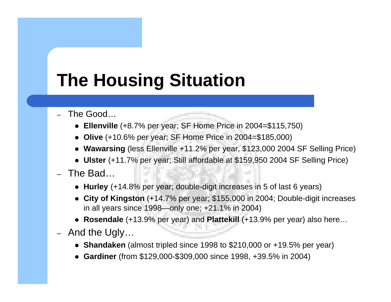- The Good…
	- z **Ellenville** (+8.7% per year; SF Home Price in 2004=\$115,750)
	- z **Olive** (+10.6% per year; SF Home Price in 2004=\$185,000)
	- **Wawarsing** (less Ellenville +11.2% per year, \$123,000 2004 SF Selling Price)
	- Ulster (+11.7% per year; Still affordable at \$159,950 2004 SF Selling Price)
- The Bad…
	- **Hurley** (+14.8% per year; double-digit increases in 5 of last 6 years)
	- City of Kingston (+14.7% per year; \$155,000 in 2004; Double-digit increases in all years since 1998—only one; +21.1% in 2004)
	- Rosendale (+13.9% per year) and Plattekill (+13.9% per year) also here…
- And the Ugly…
	- **Shandaken** (almost tripled since 1998 to \$210,000 or +19.5% per year)
	- z **Gardiner** (from \$129,000-\$309,000 since 1998, +39.5% in 2004)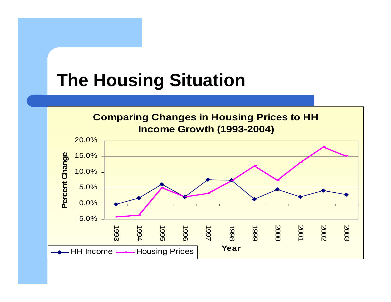**Comparing Changes in Housing Prices to HH<br>Income Growth (1993-2004)** 

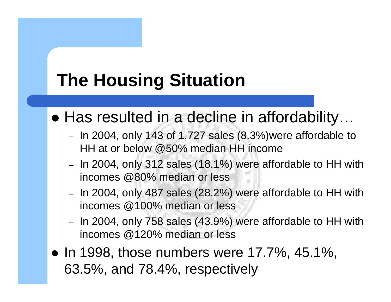#### • Has resulted in a decline in affordability...

- $-$  In 2004, only 143 of 1,727 sales (8.3%)were affordable to HH at or below @50% median HH income
- In 2004, only 312 sales (18.1%) were affordable to HH with incomes @80% median or less
- In 2004, only 487 sales (28.2%) were affordable to HH with incomes @100% median or less
- In 2004, only 758 sales (43.9%) were affordable to HH with incomes @120% median or less
- $\bullet$  In 1998, those numbers were 17.7%, 45.1%, 63.5%, and 78.4%, respectively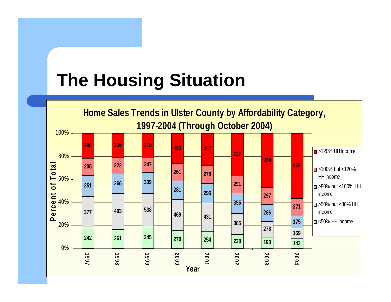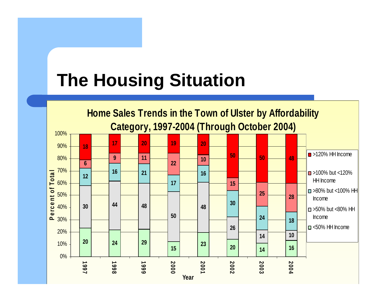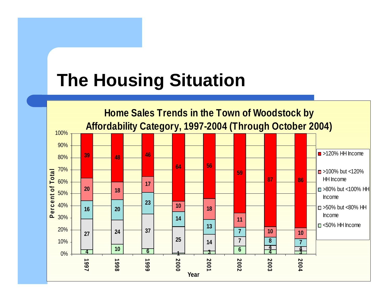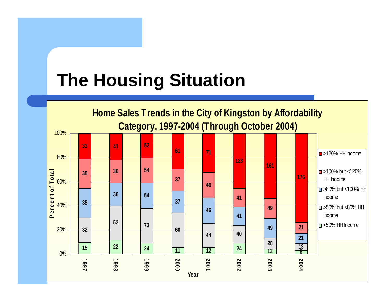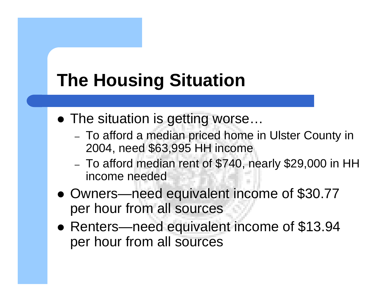- The situation is getting worse...
	- To afford a median priced home in Ulster County in 2004, need \$63,995 HH income
	- To afford median rent of \$740, nearly \$29,000 in HH income needed
- Owners—need equivalent income of \$30.77 per hour from all sources
- Renters—need equivalent income of \$13.94 per hour from all sources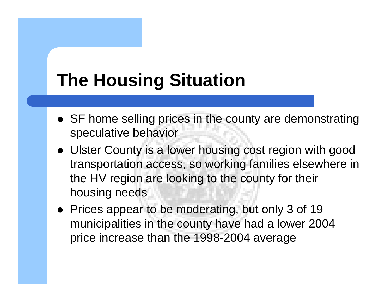- SF home selling prices in the county are demonstrating speculative behavior
- Ulster County is a lower housing cost region with good transportation access, so working families elsewhere in the HV region are looking to the county for their housing needs
- Prices appear to be moderating, but only 3 of 19 municipalities in the county have had a lower 2004 price increase than the 1998-2004 average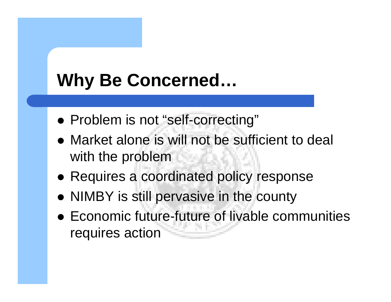## **Why Be Concerned…**

- Problem is not "self-correcting"
- Market alone is will not be sufficient to deal with the problem
- Requires a coordinated policy response
- NIMBY is still pervasive in the county
- Economic future-future of livable communities requires action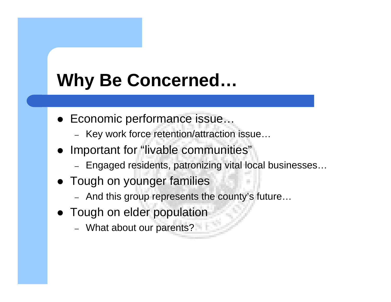## **Why Be Concerned…**

- Economic performance issue…
	- Key work force retention/attraction issue…
- Important for "livable communities"
	- Engaged residents, patronizing vital local businesses…
- Tough on younger families
	- And this group represents the county's future…
- Tough on elder population
	- What about our parents?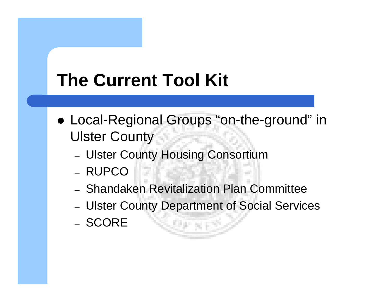- Local-Regional Groups "on-the-ground" in Ulster County
	- Ulster County Housing Consortium
	- RUPCO
	- Shandaken Revitalization Plan Committee
	- Ulster County Department of Social Services
	- SCORE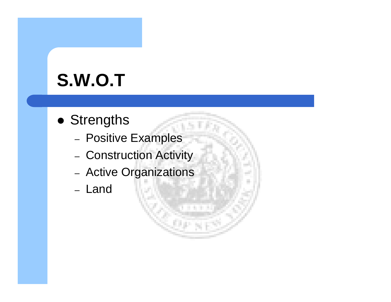- Strengths
	- Positive Examples
	- Construction Activity
	- Active Organizations
	- Land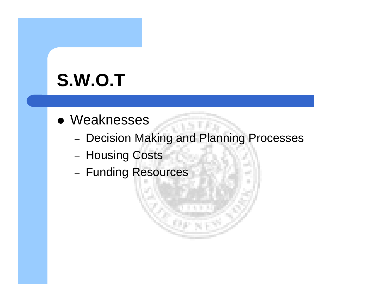- Weaknesses
	- Decision Making and Planning Processes
	- Housing Costs
	- Funding Resources

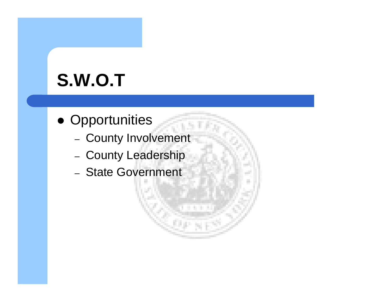- Opportunities
	- County Involvement
	- County Leadership
	- State Government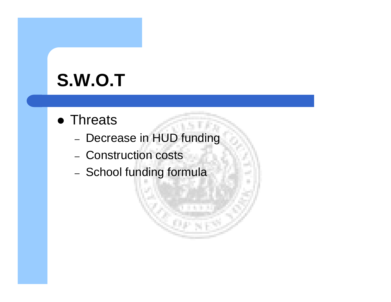- Threats
	- Decrease in HUD funding
	- Construction costs
	- School funding formula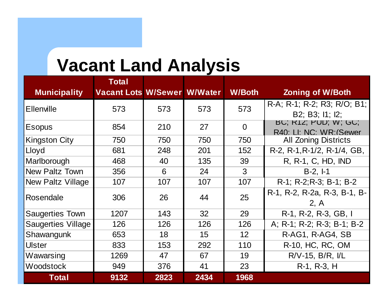### **Vacant Land Analysis**

| <b>Municipality</b>       | <b>Total</b><br><b>Vacant Lots W/Sewer W/Water</b> |      |      | <b>W/Both</b> | <b>Zoning of W/Both</b>                         |
|---------------------------|----------------------------------------------------|------|------|---------------|-------------------------------------------------|
| Ellenville                | 573                                                | 573  | 573  | 573           | R-A; R-1; R-2; R3; R/O; B1;<br>B2: B3: 11: 12:  |
| <b>Esopus</b>             | 854                                                | 210  | 27   | $\Omega$      | BU, K12, PUD, W, GU,<br>R40: LI: NC: WR: (Sewer |
| <b>Kingston City</b>      | 750                                                | 750  | 750  | 750           | <b>All Zoning Districts</b>                     |
| Lloyd                     | 681                                                | 248  | 201  | 152           | R-2, R-1, R-1/2, R-1/4, GB,                     |
| Marlborough               | 468                                                | 40   | 135  | 39            | R, R-1, C, HD, IND                              |
| <b>New Paltz Town</b>     | 356                                                | 6    | 24   | 3             | $B-2, I-1$                                      |
| <b>New Paltz Village</b>  | 107                                                | 107  | 107  | 107           | R-1; R-2; R-3; B-1; B-2                         |
| Rosendale                 | 306                                                | 26   | 44   | 25            | R-1, R-2, R-2a, R-3, B-1, B-<br>2, A            |
| <b>Saugerties Town</b>    | 1207                                               | 143  | 32   | 29            | R-1, R-2, R-3, GB, I                            |
| <b>Saugerties Village</b> | 126                                                | 126  | 126  | 126           | A; R-1; R-2; R-3; B-1; B-2                      |
| Shawangunk                | 653                                                | 18   | 15   | 12            | R-AG1, R-AG4, SB                                |
| <b>Ulster</b>             | 833                                                | 153  | 292  | 110           | R-10, HC, RC, OM                                |
| Wawarsing                 | 1269                                               | 47   | 67   | 19            | $R/V-15$ , $B/R$ , $I/L$                        |
| Woodstock                 | 949                                                | 376  | 41   | 23            | R-1, R-3, H                                     |
| <b>Total</b>              | 9132                                               | 2823 | 2434 | 1968          |                                                 |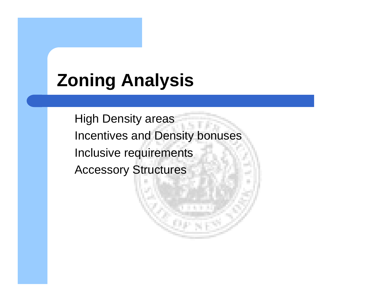## **Zoning Analysis**

High Density areas Incentives and Density bonuses Inclusive requirements Accessory Structures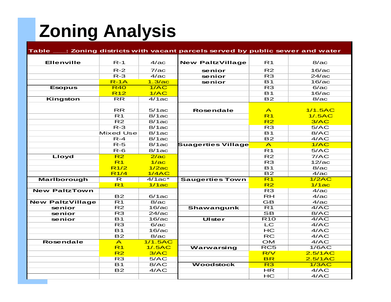# **Zoning Analysis**

|                         |                          |                  | Table ____: Zoning districts with vacant parcels served by public sewer and water |                         |                   |
|-------------------------|--------------------------|------------------|-----------------------------------------------------------------------------------|-------------------------|-------------------|
| <b>Ellenville</b>       | $R-1$                    | 4/a <sub>c</sub> | <b>New PaltzVillage</b>                                                           | R <sub>1</sub>          | 8/a <sub>c</sub>  |
|                         |                          |                  |                                                                                   |                         |                   |
|                         | $R-2$                    | 7/a <sub>c</sub> | senior                                                                            | R2                      | 16/a <sub>C</sub> |
|                         | $R - 3$                  | 4/ac             | senior                                                                            | R <sub>3</sub>          | 24/ac             |
|                         | $R-1A$                   | 1.3/ac           | senior                                                                            | B1                      | 16/ac             |
| <b>Esopus</b>           | <b>R40</b>               | 1/AC             |                                                                                   | R3                      | 6/ac              |
|                         | <b>R12</b>               | 1/AC             |                                                                                   | $\overline{B1}$         | 16/ac             |
| Kingston                | $\overline{\mathsf{RR}}$ | 4/1ac            |                                                                                   | B2                      | 8/ac              |
|                         |                          |                  |                                                                                   |                         |                   |
|                         | <b>RR</b>                | 5/1ac            | <b>Rosendale</b>                                                                  | $\mathsf{A}$            | 1/1.5AC           |
|                         | R1                       | 8/1ac            |                                                                                   | R <sub>1</sub>          | 1/.5AC            |
|                         | R2                       | 8/1ac            |                                                                                   | R <sub>2</sub>          | 3/AC              |
|                         | $R-3$                    | 8/1ac            |                                                                                   | R <sub>3</sub>          | 5/AC              |
|                         | <b>Mixed Use</b>         | 8/1ac            |                                                                                   | $\overline{B1}$         | 8/AC              |
|                         | $R - 4$                  | 8/1ac            |                                                                                   | B2                      | 4/AC              |
|                         | $R-5$                    | 8/1ac            | <b>Suagerties Village</b>                                                         | $\overline{A}$          | 1/AC              |
|                         | $R-6$                    | 8/1ac            |                                                                                   | R <sub>1</sub>          | 5/AC              |
| Lloyd                   | R2                       | 2/a <sub>c</sub> |                                                                                   | R2                      | 7/AC              |
|                         | R <sub>1</sub>           | 1/a <sub>c</sub> |                                                                                   | R3                      | 12/ac             |
|                         | R1/2                     | 1/2ac            |                                                                                   | $\overline{B1}$         | 8/ac              |
|                         | R1/4                     | 1/4AC            |                                                                                   | $\overline{B2}$         | 4/ac              |
| <b>Marlborough</b>      | $\overline{\mathsf{R}}$  | $4/1ac*$         | <b>Saugerties Town</b>                                                            | R1                      | 1/2AC             |
|                         | R <sub>1</sub>           | 1/1ac            |                                                                                   | R2                      | 1/1ac             |
| <b>New PaltzTown</b>    |                          |                  |                                                                                   | R3                      | 4/a <sub>c</sub>  |
|                         | B2                       | 6/1ac            |                                                                                   | RH                      | 4/ac              |
| <b>New PaltzVillage</b> | $\overline{R1}$          | 8/ac             |                                                                                   | $\overline{GB}$         | 4/ac              |
| senior                  | R2                       | 16/ac            | Shawangunk                                                                        | $\overline{R1}$         | 4/AC              |
| senior                  | R3                       | 24/ac            |                                                                                   | $\overline{\mathbf{S}}$ | 8/AC              |
| senior                  | $\overline{B1}$          | 16/ac            | <b>Ulster</b>                                                                     | $\overline{R10}$        | 4/AC              |
|                         | R3                       | 6/ac             |                                                                                   | LC                      | 4/AC              |
|                         | $\overline{B1}$          | 16/ac            |                                                                                   | HC                      | 4/AC              |
|                         | B2                       | 8/a <sub>c</sub> |                                                                                   | RC                      | 4/AC              |
| <b>Rosendale</b>        | $\overline{A}$           | 1/1.5AC          |                                                                                   | OM                      | 4/AC              |
|                         | R <sub>1</sub>           | 1/.5AC           | Warwarsing                                                                        | $\overline{RC5}$        | 1/6AC             |
|                         | R2                       | 3/AC             |                                                                                   | R/V                     | 2.5/1AC           |
|                         | R3                       | 5/AC             |                                                                                   | <b>BR</b>               | 2.5/1AC           |
|                         | $\overline{B1}$          | 8/AC             | <b>Woodstock</b>                                                                  | R3                      | 1/3AC             |
|                         | B2                       | 4/AC             |                                                                                   | <b>HR</b>               | 4/AC              |
|                         |                          |                  |                                                                                   | HC                      | 4/AC              |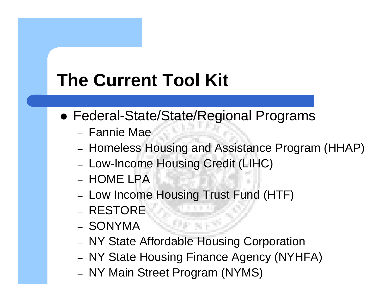- Federal-State/State/Regional Programs
	- Fannie Mae
	- Homeless Housing and Assistance Program (HHAP)
	- Low-Income Housing Credit (LIHC)
	- HOME LPA
	- Low Income Housing Trust Fund (HTF)
	- RESTORE
	- SONYMA
	- NY State Affordable Housing Corporation

- NY State Housing Finance Agency (NYHFA)
- NY Main Street Program (NYMS)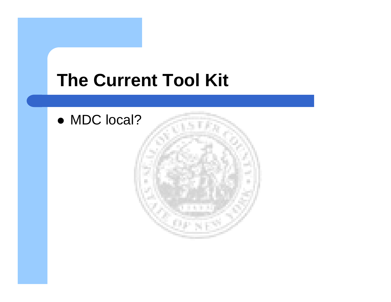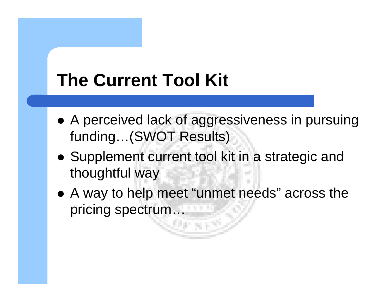- A perceived lack of aggressiveness in pursuing funding…(SWOT Results)
- Supplement current tool kit in a strategic and thoughtful way
- A way to help meet "unmet needs" across the pricing spectrum…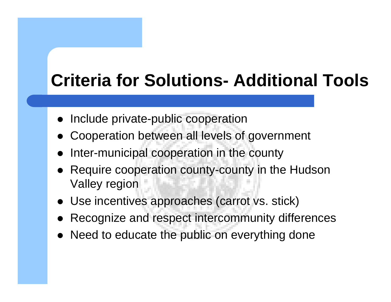## **Criteria for Solutions- Additional Tools**

- $\bullet$ Include private-public cooperation
- $\bullet$ Cooperation between all levels of government
- $\bullet$ Inter-municipal cooperation in the county
- Require cooperation county-county in the Hudson Valley region
- Use incentives approaches (carrot vs. stick)
- Recognize and respect intercommunity differences
- Need to educate the public on everything done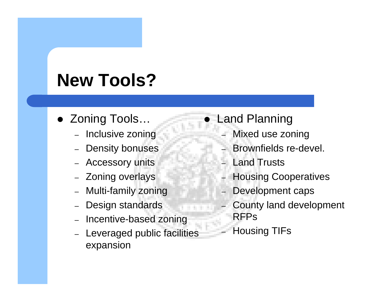## **New Tools?**

- Zoning Tools...
	- Inclusive zoning
	- Density bonuses
	- Accessory units
	- Zoning overlays
	- Multi-family zoning
	- –Design standards
	- Incentive-based zoning
	- Leveraged public facilities expansion

#### $\bullet$ Land Planning

- Mixed use zoning
- Brownfields re-devel.
- Land Trusts
- Housing Cooperatives
- Development caps
- County land development RFPs
- Housing TIFs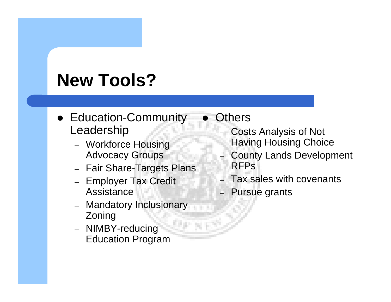## **New Tools?**

- Education-Community Leadership
	- Workforce Housing Advocacy Groups
	- Fair Share-Targets Plans
	- Employer Tax Credit **Assistance**
	- Mandatory Inclusionary Zoning
	- NIMBY-reducing Education Program

#### $\bullet$ **Others**

- Costs Analysis of Not
- Having Housing Choice
- County Lands Development RFPs
- Tax sales with covenants
- Pursue grants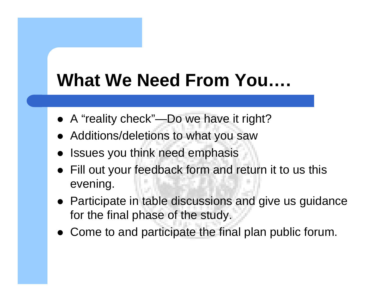## **What We Need From You….**

- A "reality check"—Do we have it right?
- Additions/deletions to what you saw
- $\bullet$ Issues you think need emphasis
- Fill out your feedback form and return it to us this evening.
- Participate in table discussions and give us guidance for the final phase of the study.
- Come to and participate the final plan public forum.